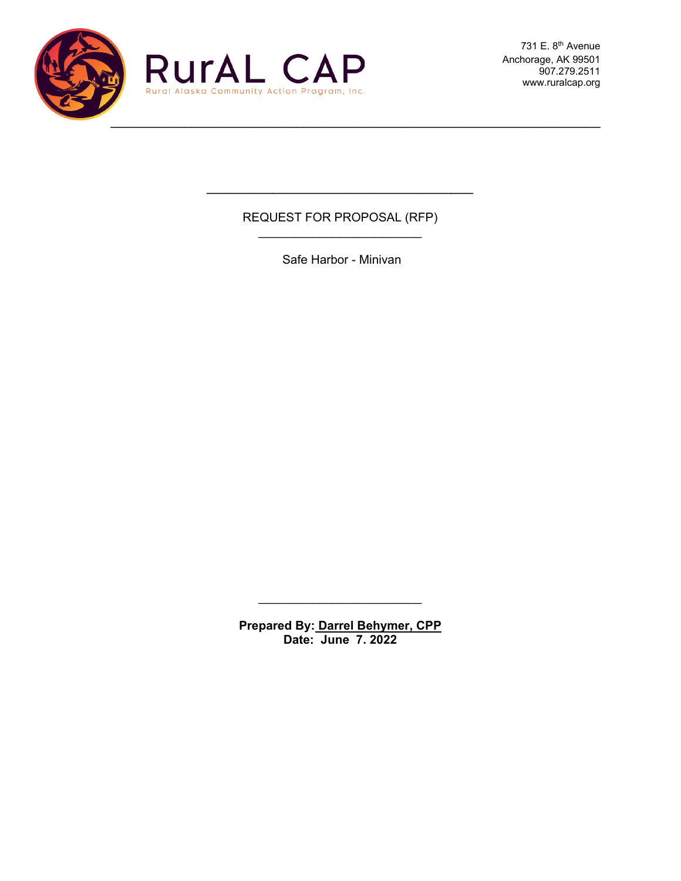

731 E. 8<sup>th</sup> Avenue Anchorage, AK 99501 907.279.2511 www.ruralcap.org

#### REQUEST FOR PROPOSAL (RFP)  $\overline{\phantom{a}}$  , where  $\overline{\phantom{a}}$  , where  $\overline{\phantom{a}}$  , where  $\overline{\phantom{a}}$

 $\mathcal{L}_\text{max}$  , where  $\mathcal{L}_\text{max}$  and  $\mathcal{L}_\text{max}$ 

Safe Harbor - Minivan

**Prepared By: Darrel Behymer, CPP Date: June 7. 2022**

 $\overline{\phantom{a}}$  , where  $\overline{\phantom{a}}$  , where  $\overline{\phantom{a}}$  , where  $\overline{\phantom{a}}$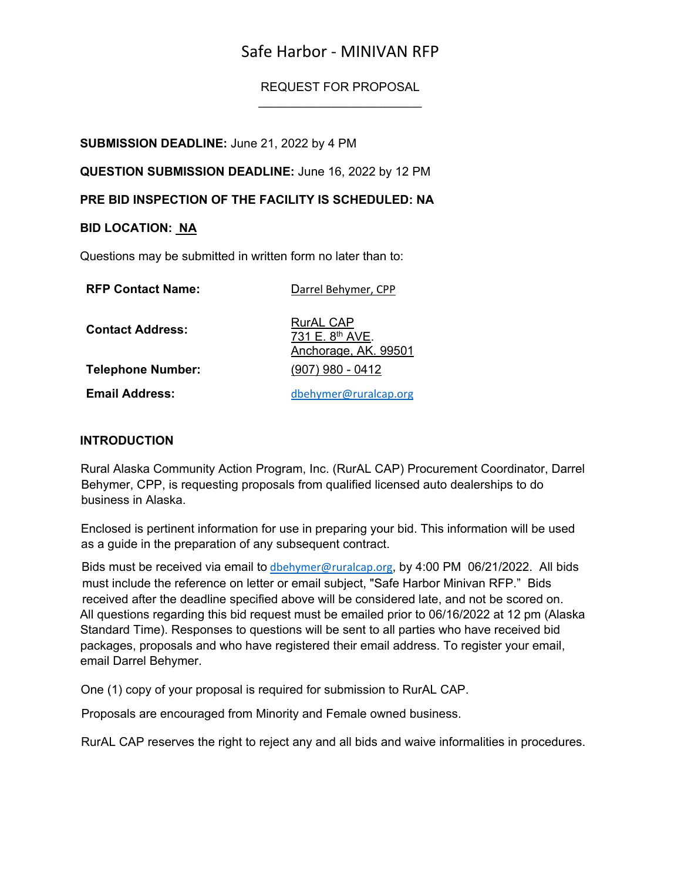# Safe Harbor - MINIVAN RFP

REQUEST FOR PROPOSAL  $\overline{\phantom{a}}$  , where  $\overline{\phantom{a}}$  , where  $\overline{\phantom{a}}$  , where  $\overline{\phantom{a}}$ 

**SUBMISSION DEADLINE:** June 21, 2022 by 4 PM

**QUESTION SUBMISSION DEADLINE:** June 16, 2022 by 12 PM

**PRE BID INSPECTION OF THE FACILITY IS SCHEDULED: NA**

#### **BID LOCATION: NA**

Questions may be submitted in written form no later than to:

| <b>RFP Contact Name:</b> | Darrel Behymer, CPP                                                     |
|--------------------------|-------------------------------------------------------------------------|
| <b>Contact Address:</b>  | <b>RurAL CAP</b><br>731 E. 8 <sup>th</sup> AVE.<br>Anchorage, AK. 99501 |
| <b>Telephone Number:</b> | $(907)$ 980 - 0412                                                      |
| <b>Email Address:</b>    | dbehymer@ruralcap.org                                                   |

#### **INTRODUCTION**

Rural Alaska Community Action Program, Inc. (RurAL CAP) Procurement Coordinator, Darrel Behymer, CPP, is requesting proposals from qualified licensed auto dealerships to do business in Alaska.

Enclosed is pertinent information for use in preparing your bid. This information will be used as a guide in the preparation of any subsequent contract.

Bids must be received via email to [dbehymer@ruralcap.org](mailto:dbehymer@ruralcap.org), by 4:00 PM 06/21/2022. All bids must include the reference on letter or email subject, "Safe Harbor Minivan RFP." Bids received after the deadline specified above will be considered late, and not be scored on. All questions regarding this bid request must be emailed prior to 06/16/2022 at 12 pm (Alaska Standard Time). Responses to questions will be sent to all parties who have received bid packages, proposals and who have registered their email address. To register your email, email Darrel Behymer.

One (1) copy of your proposal is required for submission to RurAL CAP.

Proposals are encouraged from Minority and Female owned business.

RurAL CAP reserves the right to reject any and all bids and waive informalities in procedures.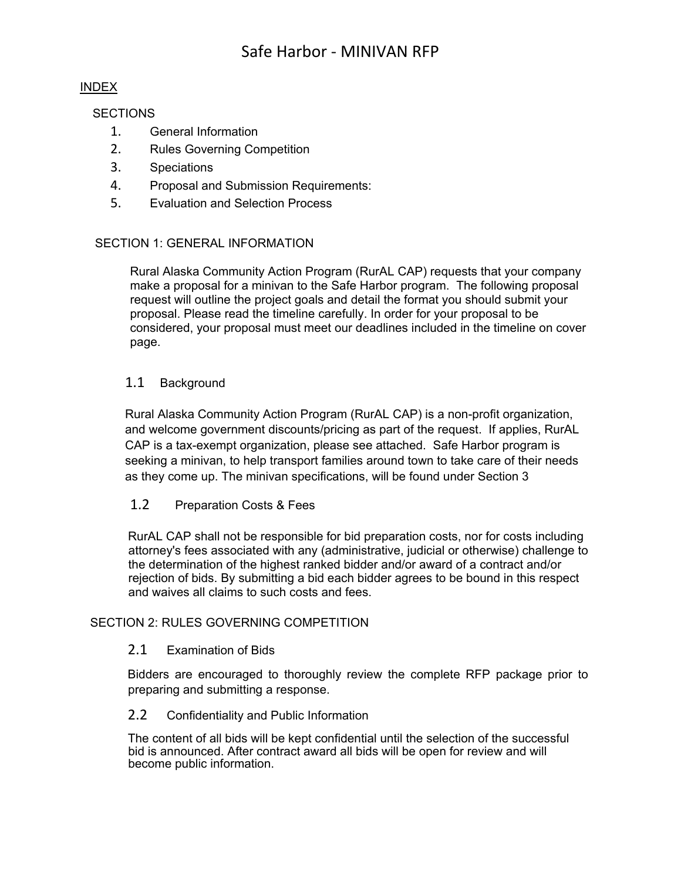#### INDEX

**SECTIONS** 

- 1. General Information
- 2. Rules Governing Competition
- 3. Speciations
- 4. Proposal and Submission Requirements:
- 5. Evaluation and Selection Process

#### SECTION 1: GENERAL INFORMATION

Rural Alaska Community Action Program (RurAL CAP) requests that your company make a proposal for a minivan to the Safe Harbor program. The following proposal request will outline the project goals and detail the format you should submit your proposal. Please read the timeline carefully. In order for your proposal to be considered, your proposal must meet our deadlines included in the timeline on cover page.

#### 1.1 Background

Rural Alaska Community Action Program (RurAL CAP) is a non-profit organization, and welcome government discounts/pricing as part of the request. If applies, RurAL CAP is a tax-exempt organization, please see attached. Safe Harbor program is seeking a minivan, to help transport families around town to take care of their needs as they come up. The minivan specifications, will be found under Section 3

#### 1.2 Preparation Costs & Fees

RurAL CAP shall not be responsible for bid preparation costs, nor for costs including attorney's fees associated with any (administrative, judicial or otherwise) challenge to the determination of the highest ranked bidder and/or award of a contract and/or rejection of bids. By submitting a bid each bidder agrees to be bound in this respect and waives all claims to such costs and fees.

#### SECTION 2: RULES GOVERNING COMPETITION

#### 2.1 Examination of Bids

Bidders are encouraged to thoroughly review the complete RFP package prior to preparing and submitting a response.

#### 2.2 Confidentiality and Public Information

The content of all bids will be kept confidential until the selection of the successful bid is announced. After contract award all bids will be open for review and will become public information.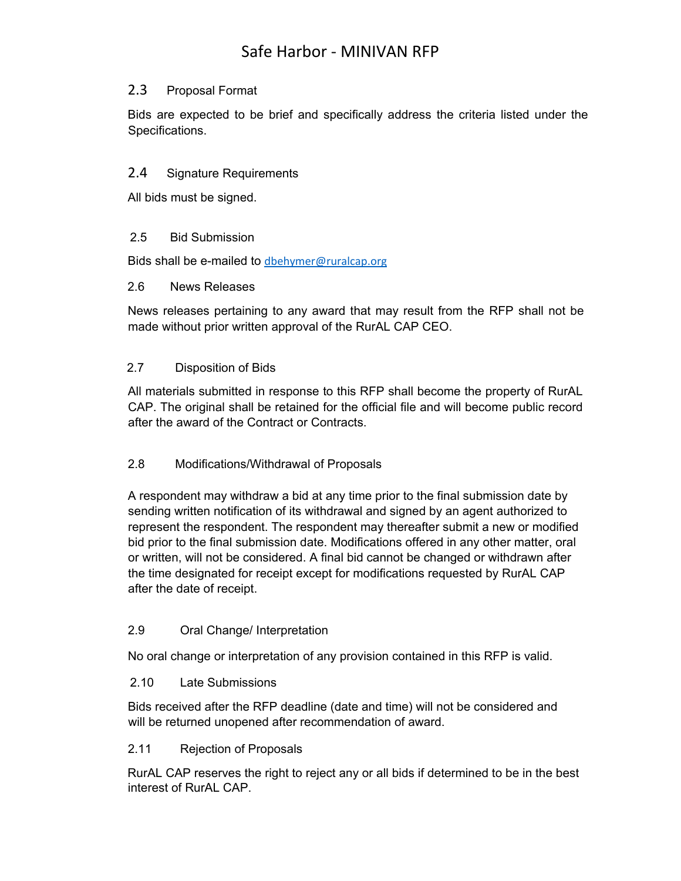## 2.3 Proposal Format

Bids are expected to be brief and specifically address the criteria listed under the Specifications.

## 2.4 Signature Requirements

All bids must be signed.

## 2.5 Bid Submission

Bids shall be e-mailed to [dbehymer@ruralcap.org](mailto:dbehymer@ruralcap.org)

#### 2.6 News Releases

News releases pertaining to any award that may result from the RFP shall not be made without prior written approval of the RurAL CAP CEO.

## 2.7 Disposition of Bids

All materials submitted in response to this RFP shall become the property of RurAL CAP. The original shall be retained for the official file and will become public record after the award of the Contract or Contracts.

## 2.8 Modifications/Withdrawal of Proposals

A respondent may withdraw a bid at any time prior to the final submission date by sending written notification of its withdrawal and signed by an agent authorized to represent the respondent. The respondent may thereafter submit a new or modified bid prior to the final submission date. Modifications offered in any other matter, oral or written, will not be considered. A final bid cannot be changed or withdrawn after the time designated for receipt except for modifications requested by RurAL CAP after the date of receipt.

## 2.9 Oral Change/ Interpretation

No oral change or interpretation of any provision contained in this RFP is valid.

## 2.10 Late Submissions

Bids received after the RFP deadline (date and time) will not be considered and will be returned unopened after recommendation of award.

#### 2.11 Rejection of Proposals

RurAL CAP reserves the right to reject any or all bids if determined to be in the best interest of RurAL CAP.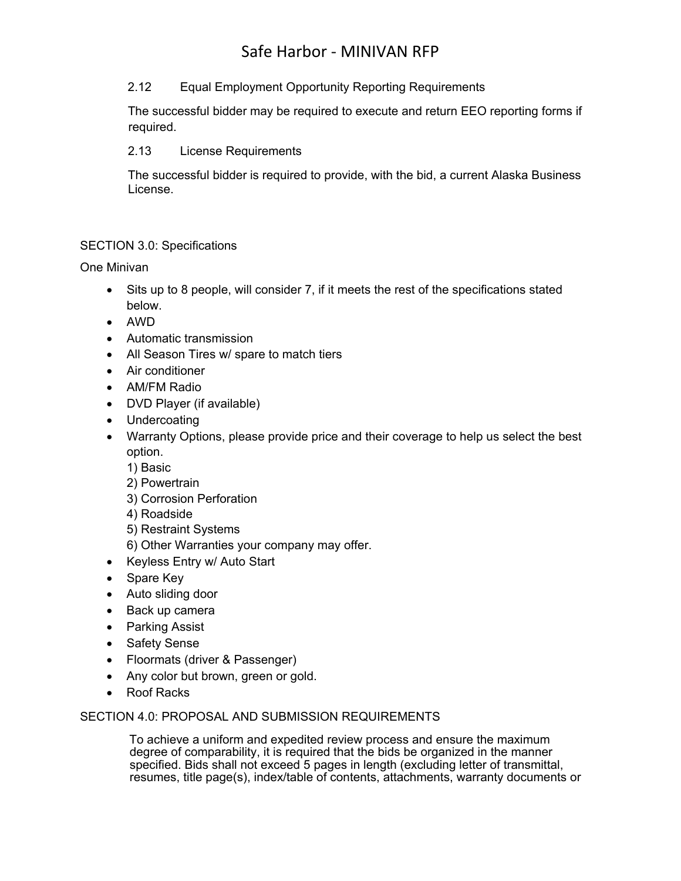# Safe Harbor - MINIVAN RFP

#### 2.12 Equal Employment Opportunity Reporting Requirements

The successful bidder may be required to execute and return EEO reporting forms if required.

#### 2.13 License Requirements

The successful bidder is required to provide, with the bid, a current Alaska Business License.

#### SECTION 3.0: Specifications

One Minivan

- Sits up to 8 people, will consider 7, if it meets the rest of the specifications stated below.
- AWD
- Automatic transmission
- All Season Tires w/ spare to match tiers
- Air conditioner
- AM/FM Radio
- DVD Player (if available)
- **Undercoating**
- Warranty Options, please provide price and their coverage to help us select the best option.
	- 1) Basic
	- 2) Powertrain
	- 3) Corrosion Perforation
	- 4) Roadside
	- 5) Restraint Systems
	- 6) Other Warranties your company may offer.
- Keyless Entry w/ Auto Start
- Spare Key
- Auto sliding door
- Back up camera
- Parking Assist
- Safety Sense
- Floormats (driver & Passenger)
- Any color but brown, green or gold.
- Roof Racks

#### SECTION 4.0: PROPOSAL AND SUBMISSION REQUIREMENTS

To achieve a uniform and expedited review process and ensure the maximum degree of comparability, it is required that the bids be organized in the manner specified. Bids shall not exceed 5 pages in length (excluding letter of transmittal, resumes, title page(s), index/table of contents, attachments, warranty documents or